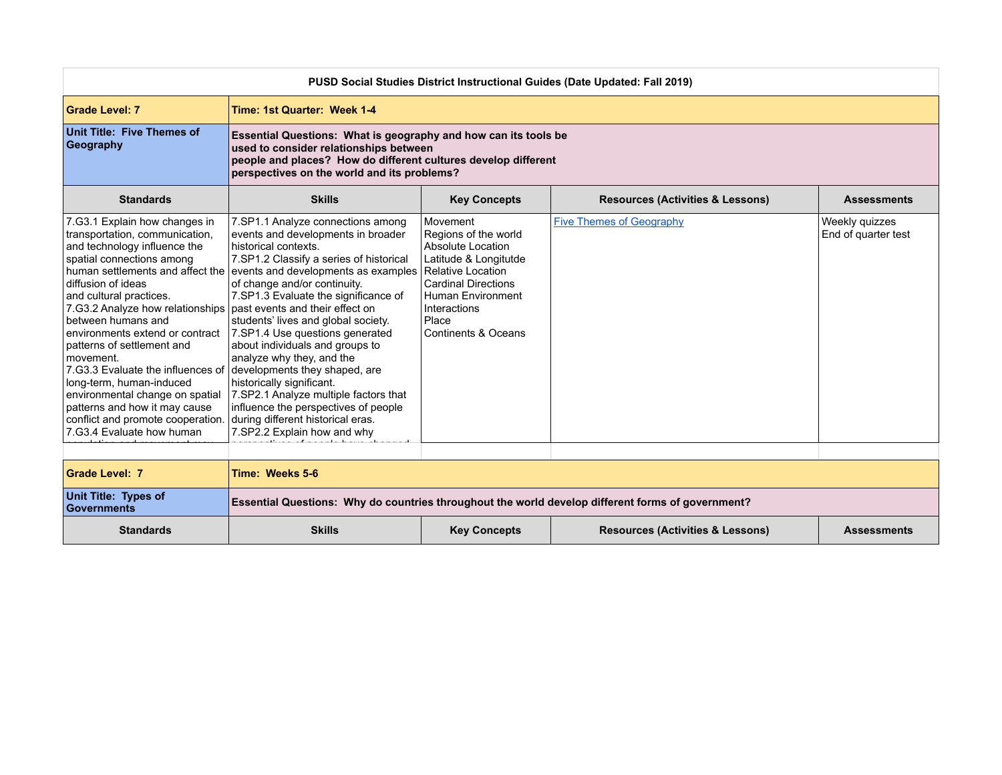| PUSD Social Studies District Instructional Guides (Date Updated: Fall 2019)                                                                                                                                                                                                                                                                                                                                                                                                                                                                                                                        |                                                                                                                                                                                                                                                                                                                                                                                                                                                                                                                                                                                                                        |                                                                                                                                                                                                        |                                             |                                       |  |  |
|----------------------------------------------------------------------------------------------------------------------------------------------------------------------------------------------------------------------------------------------------------------------------------------------------------------------------------------------------------------------------------------------------------------------------------------------------------------------------------------------------------------------------------------------------------------------------------------------------|------------------------------------------------------------------------------------------------------------------------------------------------------------------------------------------------------------------------------------------------------------------------------------------------------------------------------------------------------------------------------------------------------------------------------------------------------------------------------------------------------------------------------------------------------------------------------------------------------------------------|--------------------------------------------------------------------------------------------------------------------------------------------------------------------------------------------------------|---------------------------------------------|---------------------------------------|--|--|
| <b>Grade Level: 7</b>                                                                                                                                                                                                                                                                                                                                                                                                                                                                                                                                                                              | Time: 1st Quarter: Week 1-4                                                                                                                                                                                                                                                                                                                                                                                                                                                                                                                                                                                            |                                                                                                                                                                                                        |                                             |                                       |  |  |
| Unit Title: Five Themes of<br>Geography                                                                                                                                                                                                                                                                                                                                                                                                                                                                                                                                                            | Essential Questions: What is geography and how can its tools be<br>used to consider relationships between<br>people and places? How do different cultures develop different<br>perspectives on the world and its problems?                                                                                                                                                                                                                                                                                                                                                                                             |                                                                                                                                                                                                        |                                             |                                       |  |  |
| <b>Standards</b>                                                                                                                                                                                                                                                                                                                                                                                                                                                                                                                                                                                   | <b>Skills</b>                                                                                                                                                                                                                                                                                                                                                                                                                                                                                                                                                                                                          | <b>Key Concepts</b>                                                                                                                                                                                    | <b>Resources (Activities &amp; Lessons)</b> | <b>Assessments</b>                    |  |  |
| 7.G3.1 Explain how changes in<br>transportation, communication,<br>and technology influence the<br>spatial connections among<br>human settlements and affect the<br>diffusion of ideas<br>and cultural practices.<br>7.G3.2 Analyze how relationships   past events and their effect on<br>between humans and<br>environments extend or contract<br>patterns of settlement and<br>movement.<br>7.G3.3 Evaluate the influences of<br>Iong-term, human-induced<br>environmental change on spatial<br>patterns and how it may cause<br>conflict and promote cooperation.<br>7.G3.4 Evaluate how human | 7.SP1.1 Analyze connections among<br>events and developments in broader<br>historical contexts.<br>7.SP1.2 Classify a series of historical<br>events and developments as examples<br>of change and/or continuity.<br>7.SP1.3 Evaluate the significance of<br>students' lives and global society.<br>7.SP1.4 Use questions generated<br>about individuals and groups to<br>analyze why they, and the<br>developments they shaped, are<br>historically significant.<br>7.SP2.1 Analyze multiple factors that<br>influence the perspectives of people<br>during different historical eras.<br>7.SP2.2 Explain how and why | Movement<br>Regions of the world<br>Absolute Location<br>Latitude & Longitutde<br>Relative Location<br><b>Cardinal Directions</b><br>Human Environment<br>Interactions<br>Place<br>Continents & Oceans | <b>Five Themes of Geography</b>             | Weekly quizzes<br>End of quarter test |  |  |
|                                                                                                                                                                                                                                                                                                                                                                                                                                                                                                                                                                                                    |                                                                                                                                                                                                                                                                                                                                                                                                                                                                                                                                                                                                                        |                                                                                                                                                                                                        |                                             |                                       |  |  |
| <b>Grade Level: 7</b>                                                                                                                                                                                                                                                                                                                                                                                                                                                                                                                                                                              | Time: Weeks 5-6                                                                                                                                                                                                                                                                                                                                                                                                                                                                                                                                                                                                        |                                                                                                                                                                                                        |                                             |                                       |  |  |
| Unit Title: Types of<br>Governments                                                                                                                                                                                                                                                                                                                                                                                                                                                                                                                                                                | Essential Questions: Why do countries throughout the world develop different forms of government?                                                                                                                                                                                                                                                                                                                                                                                                                                                                                                                      |                                                                                                                                                                                                        |                                             |                                       |  |  |
| <b>Standards</b>                                                                                                                                                                                                                                                                                                                                                                                                                                                                                                                                                                                   | <b>Skills</b>                                                                                                                                                                                                                                                                                                                                                                                                                                                                                                                                                                                                          | <b>Key Concepts</b>                                                                                                                                                                                    | <b>Resources (Activities &amp; Lessons)</b> | <b>Assessments</b>                    |  |  |